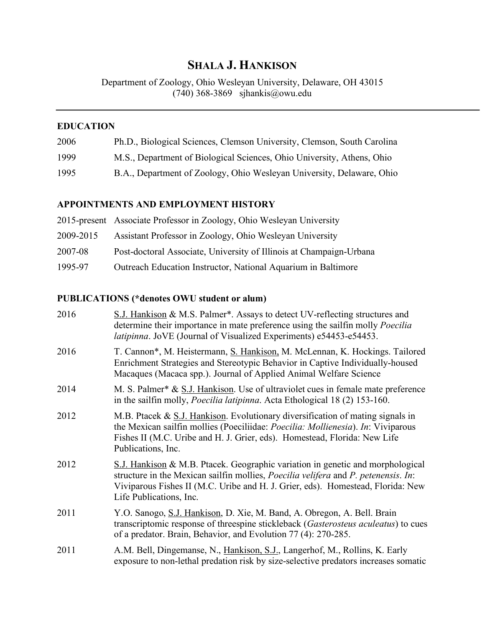# **SHALA J. HANKISON**

Department of Zoology, Ohio Wesleyan University, Delaware, OH 43015 (740) 368-3869 sjhankis@owu.edu

### **EDUCATION**

| 2006 | Ph.D., Biological Sciences, Clemson University, Clemson, South Carolina |  |  |
|------|-------------------------------------------------------------------------|--|--|
|------|-------------------------------------------------------------------------|--|--|

- 1999 M.S., Department of Biological Sciences, Ohio University, Athens, Ohio
- 1995 B.A., Department of Zoology, Ohio Wesleyan University, Delaware, Ohio

## **APPOINTMENTS AND EMPLOYMENT HISTORY**

|           | 2015-present Associate Professor in Zoology, Ohio Wesleyan University |
|-----------|-----------------------------------------------------------------------|
| 2009-2015 | Assistant Professor in Zoology, Ohio Wesleyan University              |
| 2007-08   | Post-doctoral Associate, University of Illinois at Champaign-Urbana   |
| 1995-97   | Outreach Education Instructor, National Aquarium in Baltimore         |

# **PUBLICATIONS (\*denotes OWU student or alum)**

| 2016 | S.J. Hankison & M.S. Palmer*. Assays to detect UV-reflecting structures and<br>determine their importance in mate preference using the sailfin molly <i>Poecilia</i><br><i>latipinna</i> . JoVE (Journal of Visualized Experiments) e54453-e54453.                                               |
|------|--------------------------------------------------------------------------------------------------------------------------------------------------------------------------------------------------------------------------------------------------------------------------------------------------|
| 2016 | T. Cannon*, M. Heistermann, S. Hankison, M. McLennan, K. Hockings. Tailored<br>Enrichment Strategies and Stereotypic Behavior in Captive Individually-housed<br>Macaques (Macaca spp.). Journal of Applied Animal Welfare Science                                                                |
| 2014 | M. S. Palmer* & S.J. Hankison. Use of ultraviolet cues in female mate preference<br>in the sailfin molly, <i>Poecilia latipinna</i> . Acta Ethological 18 (2) 153-160.                                                                                                                           |
| 2012 | M.B. Ptacek & $S_{.}$ J. Hankison. Evolutionary diversification of mating signals in<br>the Mexican sailfin mollies (Poeciliidae: Poecilia: Mollienesia). In: Viviparous<br>Fishes II (M.C. Uribe and H. J. Grier, eds). Homestead, Florida: New Life<br>Publications, Inc.                      |
| 2012 | S.J. Hankison & M.B. Ptacek. Geographic variation in genetic and morphological<br>structure in the Mexican sailfin mollies, <i>Poecilia velifera</i> and <i>P. petenensis. In:</i><br>Viviparous Fishes II (M.C. Uribe and H. J. Grier, eds). Homestead, Florida: New<br>Life Publications, Inc. |
| 2011 | Y.O. Sanogo, S.J. Hankison, D. Xie, M. Band, A. Obregon, A. Bell. Brain<br>transcriptomic response of threespine stickleback (Gasterosteus aculeatus) to cues<br>of a predator. Brain, Behavior, and Evolution 77 (4): 270-285.                                                                  |
| 2011 | A.M. Bell, Dingemanse, N., Hankison, S.J., Langerhof, M., Rollins, K. Early<br>exposure to non-lethal predation risk by size-selective predators increases somatic                                                                                                                               |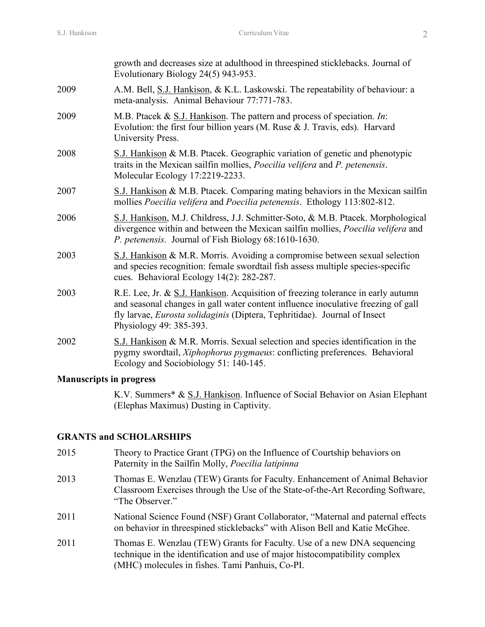|      | growth and decreases size at adulthood in threespined sticklebacks. Journal of<br>Evolutionary Biology 24(5) 943-953.                                                                                                                                                                        |
|------|----------------------------------------------------------------------------------------------------------------------------------------------------------------------------------------------------------------------------------------------------------------------------------------------|
| 2009 | A.M. Bell, S.J. Hankison, & K.L. Laskowski. The repeatability of behaviour: a<br>meta-analysis. Animal Behaviour 77:771-783.                                                                                                                                                                 |
| 2009 | M.B. Ptacek & $\underline{S}$ .J. Hankison. The pattern and process of speciation. In:<br>Evolution: the first four billion years (M. Ruse $&$ J. Travis, eds). Harvard<br>University Press.                                                                                                 |
| 2008 | S.J. Hankison & M.B. Ptacek. Geographic variation of genetic and phenotypic<br>traits in the Mexican sailfin mollies, Poecilia velifera and P. petenensis.<br>Molecular Ecology 17:2219-2233.                                                                                                |
| 2007 | S.J. Hankison & M.B. Ptacek. Comparing mating behaviors in the Mexican sailfin<br>mollies Poecilia velifera and Poecilia petenensis. Ethology 113:802-812.                                                                                                                                   |
| 2006 | S.J. Hankison, M.J. Childress, J.J. Schmitter-Soto, & M.B. Ptacek. Morphological<br>divergence within and between the Mexican sailfin mollies, Poecilia velifera and<br>P. petenensis. Journal of Fish Biology 68:1610-1630.                                                                 |
| 2003 | S.J. Hankison & M.R. Morris. Avoiding a compromise between sexual selection<br>and species recognition: female swordtail fish assess multiple species-specific<br>cues. Behavioral Ecology 14(2): 282-287.                                                                                   |
| 2003 | R.E. Lee, Jr. & <u>S.J. Hankison</u> . Acquisition of freezing tolerance in early autumn<br>and seasonal changes in gall water content influence inoculative freezing of gall<br>fly larvae, <i>Eurosta solidaginis</i> (Diptera, Tephritidae). Journal of Insect<br>Physiology 49: 385-393. |
| 2002 | S.J. Hankison & M.R. Morris. Sexual selection and species identification in the<br>pygmy swordtail, Xiphophorus pygmaeus: conflicting preferences. Behavioral<br>Ecology and Sociobiology 51: 140-145.                                                                                       |
|      |                                                                                                                                                                                                                                                                                              |

#### **Manuscripts in progress**

K.V. Summers\* & S.J. Hankison. Influence of Social Behavior on Asian Elephant (Elephas Maximus) Dusting in Captivity.

#### **GRANTS and SCHOLARSHIPS**

- 2015 Theory to Practice Grant (TPG) on the Influence of Courtship behaviors on Paternity in the Sailfin Molly, *Poecilia latipinna*
- 2013 Thomas E. Wenzlau (TEW) Grants for Faculty. Enhancement of Animal Behavior Classroom Exercises through the Use of the State-of-the-Art Recording Software, "The Observer."
- 2011 National Science Found (NSF) Grant Collaborator, "Maternal and paternal effects on behavior in threespined sticklebacks" with Alison Bell and Katie McGhee.
- 2011 Thomas E. Wenzlau (TEW) Grants for Faculty. Use of a new DNA sequencing technique in the identification and use of major histocompatibility complex (MHC) molecules in fishes. Tami Panhuis, Co-PI.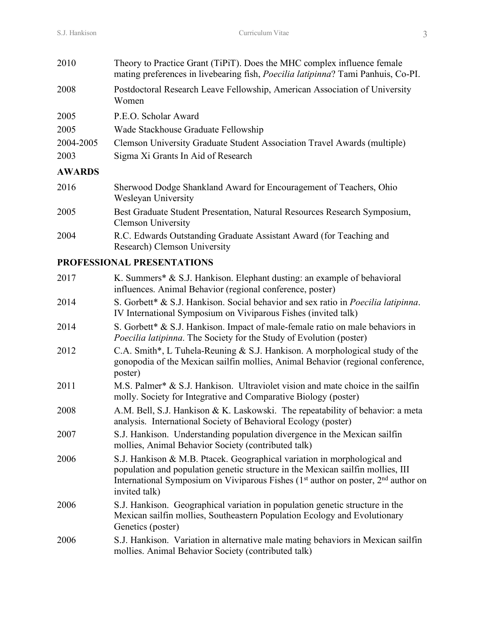| 2010          | Theory to Practice Grant (TiPiT). Does the MHC complex influence female<br>mating preferences in livebearing fish, <i>Poecilia latipinna</i> ? Tami Panhuis, Co-PI. |
|---------------|---------------------------------------------------------------------------------------------------------------------------------------------------------------------|
| 2008          | Postdoctoral Research Leave Fellowship, American Association of University<br>Women                                                                                 |
| 2005          | P.E.O. Scholar Award                                                                                                                                                |
| 2005          | Wade Stackhouse Graduate Fellowship                                                                                                                                 |
| 2004-2005     | Clemson University Graduate Student Association Travel Awards (multiple)                                                                                            |
| 2003          | Sigma Xi Grants In Aid of Research                                                                                                                                  |
| <b>AWARDS</b> |                                                                                                                                                                     |
| 2016          | Sherwood Dodge Shankland Award for Encouragement of Teachers, Ohio<br>Wesleyan University                                                                           |
| 2005          | Best Graduate Student Presentation, Natural Resources Research Symposium,<br><b>Clemson University</b>                                                              |
| 2004          | R.C. Edwards Outstanding Graduate Assistant Award (for Teaching and                                                                                                 |

# Research) Clemson University **PROFESSIONAL PRESENTATIONS**

| 2017 | K. Summers* & S.J. Hankison. Elephant dusting: an example of behavioral<br>influences. Animal Behavior (regional conference, poster)                                                                                                                                  |
|------|-----------------------------------------------------------------------------------------------------------------------------------------------------------------------------------------------------------------------------------------------------------------------|
| 2014 | S. Gorbett* & S.J. Hankison. Social behavior and sex ratio in Poecilia latipinna.<br>IV International Symposium on Viviparous Fishes (invited talk)                                                                                                                   |
| 2014 | S. Gorbett * & S.J. Hankison. Impact of male-female ratio on male behaviors in<br><i>Poecilia latipinna.</i> The Society for the Study of Evolution (poster)                                                                                                          |
| 2012 | C.A. Smith*, L Tuhela-Reuning & S.J. Hankison. A morphological study of the<br>gonopodia of the Mexican sailfin mollies, Animal Behavior (regional conference,<br>poster)                                                                                             |
| 2011 | M.S. Palmer* & S.J. Hankison. Ultraviolet vision and mate choice in the sailfin<br>molly. Society for Integrative and Comparative Biology (poster)                                                                                                                    |
| 2008 | A.M. Bell, S.J. Hankison & K. Laskowski. The repeatability of behavior: a meta<br>analysis. International Society of Behavioral Ecology (poster)                                                                                                                      |
| 2007 | S.J. Hankison. Understanding population divergence in the Mexican sailfin<br>mollies, Animal Behavior Society (contributed talk)                                                                                                                                      |
| 2006 | S.J. Hankison & M.B. Ptacek. Geographical variation in morphological and<br>population and population genetic structure in the Mexican sailfin mollies, III<br>International Symposium on Viviparous Fishes $(1st$ author on poster, $2nd$ author on<br>invited talk) |
| 2006 | S.J. Hankison. Geographical variation in population genetic structure in the<br>Mexican sailfin mollies, Southeastern Population Ecology and Evolutionary<br>Genetics (poster)                                                                                        |
| 2006 | S.J. Hankison. Variation in alternative male mating behaviors in Mexican sailfin<br>mollies. Animal Behavior Society (contributed talk)                                                                                                                               |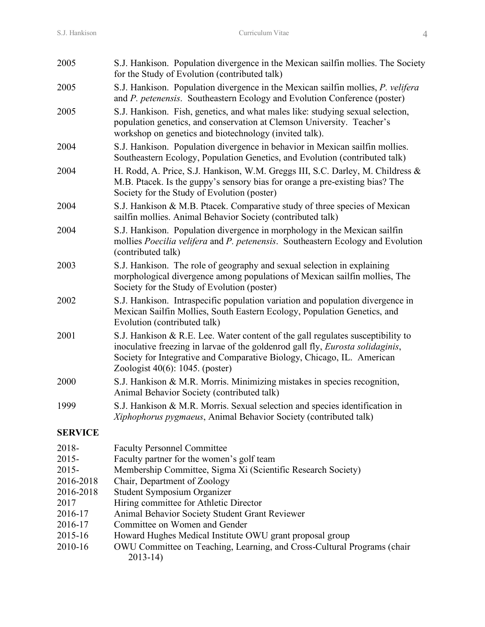| 2005           | S.J. Hankison. Population divergence in the Mexican sailfin mollies. The Society<br>for the Study of Evolution (contributed talk)                                                                                                                                                         |
|----------------|-------------------------------------------------------------------------------------------------------------------------------------------------------------------------------------------------------------------------------------------------------------------------------------------|
| 2005           | S.J. Hankison. Population divergence in the Mexican sailfin mollies, P. velifera<br>and P. petenensis. Southeastern Ecology and Evolution Conference (poster)                                                                                                                             |
| 2005           | S.J. Hankison. Fish, genetics, and what males like: studying sexual selection,<br>population genetics, and conservation at Clemson University. Teacher's<br>workshop on genetics and biotechnology (invited talk).                                                                        |
| 2004           | S.J. Hankison. Population divergence in behavior in Mexican sailfin mollies.<br>Southeastern Ecology, Population Genetics, and Evolution (contributed talk)                                                                                                                               |
| 2004           | H. Rodd, A. Price, S.J. Hankison, W.M. Greggs III, S.C. Darley, M. Childress &<br>M.B. Ptacek. Is the guppy's sensory bias for orange a pre-existing bias? The<br>Society for the Study of Evolution (poster)                                                                             |
| 2004           | S.J. Hankison & M.B. Ptacek. Comparative study of three species of Mexican<br>sailfin mollies. Animal Behavior Society (contributed talk)                                                                                                                                                 |
| 2004           | S.J. Hankison. Population divergence in morphology in the Mexican sailfin<br>mollies Poecilia velifera and P. petenensis. Southeastern Ecology and Evolution<br>(contributed talk)                                                                                                        |
| 2003           | S.J. Hankison. The role of geography and sexual selection in explaining<br>morphological divergence among populations of Mexican sailfin mollies, The<br>Society for the Study of Evolution (poster)                                                                                      |
| 2002           | S.J. Hankison. Intraspecific population variation and population divergence in<br>Mexican Sailfin Mollies, South Eastern Ecology, Population Genetics, and<br>Evolution (contributed talk)                                                                                                |
| 2001           | S.J. Hankison & R.E. Lee. Water content of the gall regulates susceptibility to<br>inoculative freezing in larvae of the goldenrod gall fly, <i>Eurosta solidaginis</i> ,<br>Society for Integrative and Comparative Biology, Chicago, IL. American<br>Zoologist $40(6)$ : 1045. (poster) |
| 2000           | S.J. Hankison & M.R. Morris. Minimizing mistakes in species recognition,<br>Animal Behavior Society (contributed talk)                                                                                                                                                                    |
| 1999           | S.J. Hankison & M.R. Morris. Sexual selection and species identification in<br>Xiphophorus pygmaeus, Animal Behavior Society (contributed talk)                                                                                                                                           |
| <b>SERVICE</b> |                                                                                                                                                                                                                                                                                           |
| 2018-          | <b>Faculty Personnel Committee</b>                                                                                                                                                                                                                                                        |
| 2015-          | Faculty partner for the women's golf team                                                                                                                                                                                                                                                 |
| 2015-          | Membership Committee, Sigma Xi (Scientific Research Society)                                                                                                                                                                                                                              |

- 2016-2018 Chair, Department of Zoology
- 2016-2018 Student Symposium Organizer
- 2017 Hiring committee for Athletic Director
- 2016-17 Animal Behavior Society Student Grant Reviewer
- 2016-17 Committee on Women and Gender
- 2015-16 Howard Hughes Medical Institute OWU grant proposal group
- 2010-16 OWU Committee on Teaching, Learning, and Cross-Cultural Programs (chair 2013-14)